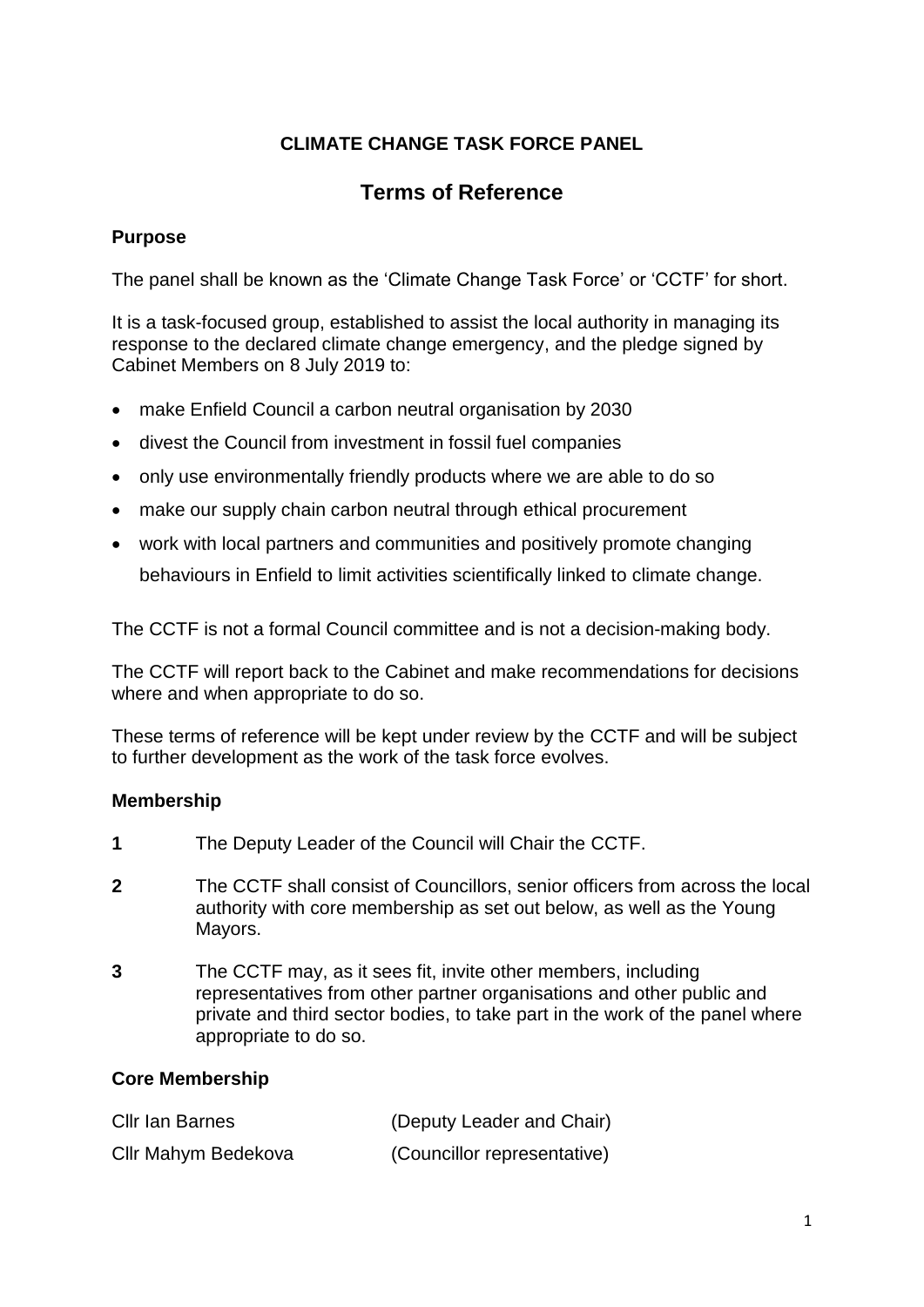# **CLIMATE CHANGE TASK FORCE PANEL**

# **Terms of Reference**

# **Purpose**

The panel shall be known as the 'Climate Change Task Force' or 'CCTF' for short.

It is a task-focused group, established to assist the local authority in managing its response to the declared climate change emergency, and the pledge signed by Cabinet Members on 8 July 2019 to:

- make Enfield Council a carbon neutral organisation by 2030
- divest the Council from investment in fossil fuel companies
- only use environmentally friendly products where we are able to do so
- make our supply chain carbon neutral through ethical procurement
- work with local partners and communities and positively promote changing behaviours in Enfield to limit activities scientifically linked to climate change.

The CCTF is not a formal Council committee and is not a decision-making body.

The CCTF will report back to the Cabinet and make recommendations for decisions where and when appropriate to do so.

These terms of reference will be kept under review by the CCTF and will be subject to further development as the work of the task force evolves.

#### **Membership**

- **1** The Deputy Leader of the Council will Chair the CCTF.
- **2** The CCTF shall consist of Councillors, senior officers from across the local authority with core membership as set out below, as well as the Young Mayors.
- **3** The CCTF may, as it sees fit, invite other members, including representatives from other partner organisations and other public and private and third sector bodies, to take part in the work of the panel where appropriate to do so.

#### **Core Membership**

| Cllr Ian Barnes     | (Deputy Leader and Chair)   |
|---------------------|-----------------------------|
| Cllr Mahym Bedekova | (Councillor representative) |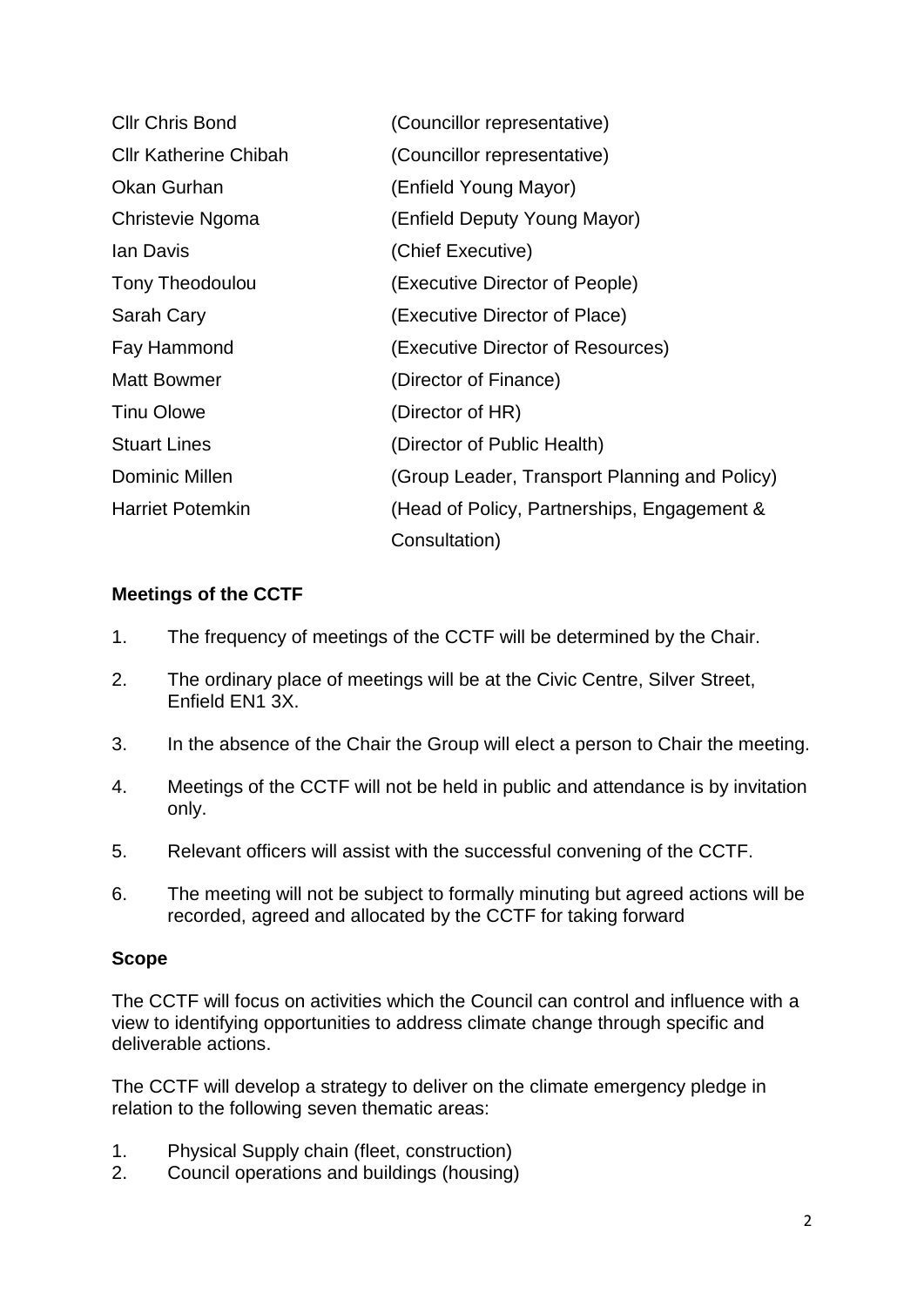| <b>Cllr Chris Bond</b>       | (Councillor representative)                   |
|------------------------------|-----------------------------------------------|
| <b>CIIr Katherine Chibah</b> | (Councillor representative)                   |
| Okan Gurhan                  | (Enfield Young Mayor)                         |
| Christevie Ngoma             | (Enfield Deputy Young Mayor)                  |
| lan Davis                    | (Chief Executive)                             |
| <b>Tony Theodoulou</b>       | (Executive Director of People)                |
| Sarah Cary                   | (Executive Director of Place)                 |
| Fay Hammond                  | (Executive Director of Resources)             |
| <b>Matt Bowmer</b>           | (Director of Finance)                         |
| <b>Tinu Olowe</b>            | (Director of HR)                              |
| <b>Stuart Lines</b>          | (Director of Public Health)                   |
| <b>Dominic Millen</b>        | (Group Leader, Transport Planning and Policy) |
| <b>Harriet Potemkin</b>      | (Head of Policy, Partnerships, Engagement &   |
|                              | Consultation)                                 |

## **Meetings of the CCTF**

- 1. The frequency of meetings of the CCTF will be determined by the Chair.
- 2. The ordinary place of meetings will be at the Civic Centre, Silver Street, Enfield EN1 3X.
- 3. In the absence of the Chair the Group will elect a person to Chair the meeting.
- 4. Meetings of the CCTF will not be held in public and attendance is by invitation only.
- 5. Relevant officers will assist with the successful convening of the CCTF.
- 6. The meeting will not be subject to formally minuting but agreed actions will be recorded, agreed and allocated by the CCTF for taking forward

#### **Scope**

The CCTF will focus on activities which the Council can control and influence with a view to identifying opportunities to address climate change through specific and deliverable actions.

The CCTF will develop a strategy to deliver on the climate emergency pledge in relation to the following seven thematic areas:

- 1. Physical Supply chain (fleet, construction)
- 2. Council operations and buildings (housing)